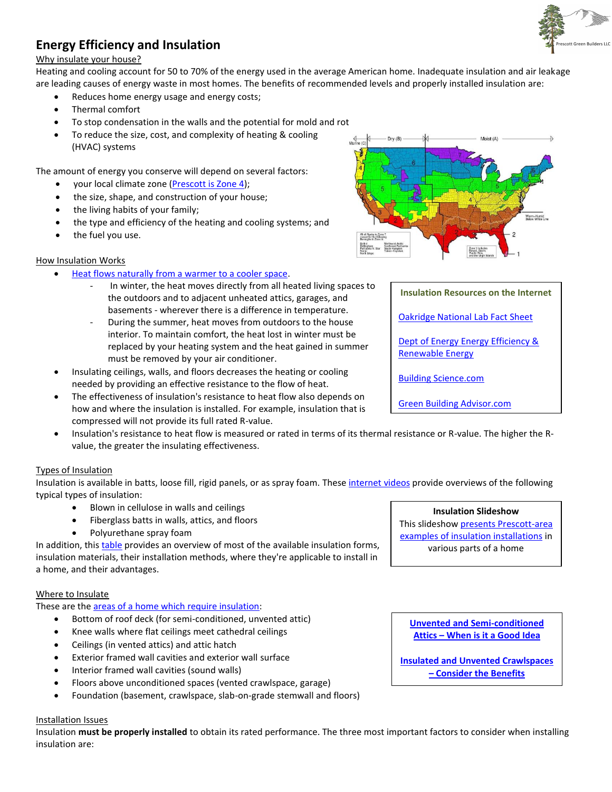

# **Energy Efficiency and Insulation**

## Why insulate your house?

Heating and cooling account for 50 to 70% of the energy used in the average American home. Inadequate insulation and air leakage are leading causes of energy waste in most homes. The benefits of recommended levels and properly installed insulation are:

- Reduces home energy usage and energy costs;
- Thermal comfort
- To stop condensation in the walls and the potential for mold and rot
- To reduce the size, cost, and complexity of heating & cooling (HVAC) systems

The amount of energy you conserve will depend on several factors:

- your local climate zone [\(Prescott is Zone 4\)](http://energycode.pnl.gov/EnergyCodeReqs/index.jsp?state=Arizona);
- the size, shape, and construction of your house;
- the living habits of your family;
- the type and efficiency of the heating and cooling systems; and
- the fuel you use.

## How Insulation Works

- [Heat flows naturally from a warmer to a cooler space.](http://prescottgreenbuilders.com/pdfs/8RulesofBuildingPerformance.pdf)
	- In winter, the heat moves directly from all heated living spaces to the outdoors and to adjacent unheated attics, garages, and basements - wherever there is a difference in temperature.
	- During the summer, heat moves from outdoors to the house interior. To maintain comfort, the heat lost in winter must be replaced by your heating system and the heat gained in summer must be removed by your air conditioner.
- Insulating ceilings, walls, and floors decreases the heating or cooling needed by providing an effective resistance to the flow of heat.
- The effectiveness of insulation's resistance to heat flow also depends on how and where the insulation is installed. For example, insulation that is compressed will not provide its full rated R-value.
- Insulation's resistance to heat flow is measured or rated in terms of its thermal resistance or R-value. The higher the Rvalue, the greater the insulating effectiveness.

# Types of Insulation

Insulation is available in batts, loose fill, rigid panels, or as spray foam. These [internet videos](http://www.bestofbuildingscience.com/enclosure.html) provide overviews of the following typical types of insulation:

- Blown in cellulose in walls and ceilings
- Fiberglass batts in walls, attics, and floors
- Polyurethane spray foam

In addition, this [table](http://www.energysavers.gov/your_home/insulation_airsealing/index.cfm/mytopic=11510) provides an overview of most of the available insulation forms, insulation materials, their installation methods, where they're applicable to install in a home, and their advantages.

## Where to Insulate

These are the **areas of a home which require insulation**:

- Bottom of roof deck (for semi-conditioned, unvented attic)
- Knee walls where flat ceilings meet cathedral ceilings
- Ceilings (in vented attics) and attic hatch
- Exterior framed wall cavities and exterior wall surface
- Interior framed wall cavities (sound walls)
- Floors above unconditioned spaces (vented crawlspace, garage)
- Foundation (basement, crawlspace, slab-on-grade stemwall and floors)

## Installation Issues

Insulation **must be properly installed** to obtain its rated performance. The three most important factors to consider when installing insulation are:

## **Insulation Slideshow**

This slideshow [presents Prescott-area](http://picasaweb.google.com/yc.edu.rbt/ForesteHolmes_InsulationEnergyEfficiency?feat=directlink)  [examples of insulation installations](http://picasaweb.google.com/yc.edu.rbt/ForesteHolmes_InsulationEnergyEfficiency?feat=directlink) in various parts of a home

**Unvented [and Semi-conditioned](http://www.greenbuildingadvisor.com/green-basics/vented-or-unvented-attic) Attics – [When is it a Good Idea](http://www.greenbuildingadvisor.com/green-basics/vented-or-unvented-attic)**

**Insulated and [Unvented Crawlspaces](http://www.eere.energy.gov/buildings/building_america/pdfs/db/35379.pdf)  – [Consider the Benefits](http://www.eere.energy.gov/buildings/building_america/pdfs/db/35379.pdf)**



**Insulation Resources on the Internet**

[Oakridge National Lab Fact Sheet](http://www.ornl.gov/sci/roofs+walls/insulation/ins_01.html)

[Dept of Energy Energy Efficiency &](http://www.energysavers.gov/your_home/insulation_airsealing/index.cfm/mytopic=11220) [Renewable Energy](http://www.energysavers.gov/your_home/insulation_airsealing/index.cfm/mytopic=11220)

[Building Science.com](http://www.buildingscience.com/search?SearchableText=insulation)

[Green Building Advisor.com](http://www.greenbuildingadvisor.com/green-basics/insulation-overview)